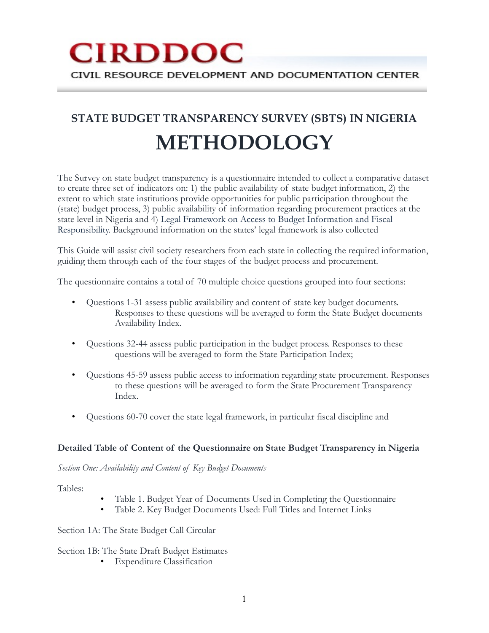# **CIRDDOC** CIVIL RESOURCE DEVELOPMENT AND DOCUMENTATION CENTER

# **STATE BUDGET TRANSPARENCY SURVEY (SBTS) IN NIGERIA METHODOLOGY**

The Survey on state budget transparency is a questionnaire intended to collect a comparative dataset to create three set of indicators on: 1) the public availability of state budget information, 2) the extent to which state institutions provide opportunities for public participation throughout the (state) budget process, 3) public availability of information regarding procurement practices at the state level in Nigeria and 4) Legal Framework on Access to Budget Information and Fiscal Responsibility. Background information on the states' legal framework is also collected

This Guide will assist civil society researchers from each state in collecting the required information, guiding them through each of the four stages of the budget process and procurement.

The questionnaire contains a total of 70 multiple choice questions grouped into four sections:

- Questions 1-31 assess public availability and content of state key budget documents. Responses to these questions will be averaged to form the State Budget documents Availability Index.
- Questions 32-44 assess public participation in the budget process. Responses to these questions will be averaged to form the State Participation Index;
- Questions 45-59 assess public access to information regarding state procurement. Responses to these questions will be averaged to form the State Procurement Transparency Index.
- Questions 60-70 cover the state legal framework, in particular fiscal discipline and

### **Detailed Table of Content of the Questionnaire on State Budget Transparency in Nigeria**

*Section One: Availability and Content of Key Budget Documents* 

Tables:

- Table 1. Budget Year of Documents Used in Completing the Questionnaire
- Table 2. Key Budget Documents Used: Full Titles and Internet Links

Section 1A: The State Budget Call Circular

Section 1B: The State Draft Budget Estimates

• Expenditure Classification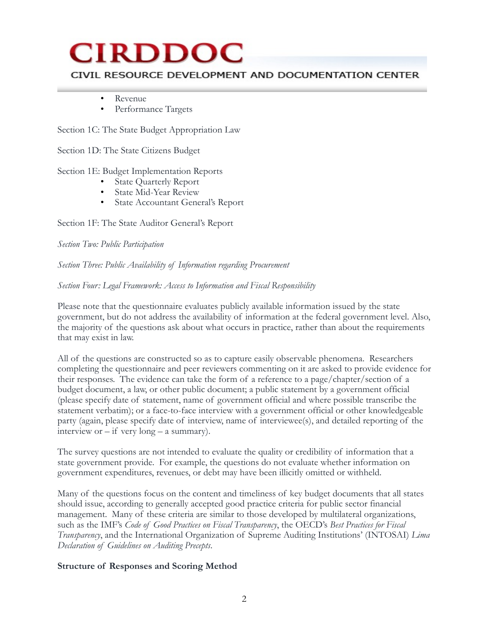### CIVIL RESOURCE DEVELOPMENT AND DOCUMENTATION CENTER

- Revenue
- Performance Targets

Section 1C: The State Budget Appropriation Law

Section 1D: The State Citizens Budget

Section 1E: Budget Implementation Reports

- **State Quarterly Report**
- State Mid-Year Review
- State Accountant General's Report

Section 1F: The State Auditor General's Report

*Section Two: Public Participation* 

*Section Three: Public Availability of Information regarding Procurement* 

### *Section Four: Legal Framework: Access to Information and Fiscal Responsibility*

Please note that the questionnaire evaluates publicly available information issued by the state government, but do not address the availability of information at the federal government level. Also, the majority of the questions ask about what occurs in practice, rather than about the requirements that may exist in law.

All of the questions are constructed so as to capture easily observable phenomena. Researchers completing the questionnaire and peer reviewers commenting on it are asked to provide evidence for their responses. The evidence can take the form of a reference to a page/chapter/section of a budget document, a law, or other public document; a public statement by a government official (please specify date of statement, name of government official and where possible transcribe the statement verbatim); or a face-to-face interview with a government official or other knowledgeable party (again, please specify date of interview, name of interviewee(s), and detailed reporting of the interview or  $-$  if very long  $-$  a summary).

The survey questions are not intended to evaluate the quality or credibility of information that a state government provide. For example, the questions do not evaluate whether information on government expenditures, revenues, or debt may have been illicitly omitted or withheld.

Many of the questions focus on the content and timeliness of key budget documents that all states should issue, according to generally accepted good practice criteria for public sector financial management. Many of these criteria are similar to those developed by multilateral organizations, such as the IMF's *Code of Good Practices on Fiscal Transparency*, the OECD's *Best Practices for Fiscal Transparency*, and the International Organization of Supreme Auditing Institutions' (INTOSAI) *Lima Declaration of Guidelines on Auditing Precepts*.

### **Structure of Responses and Scoring Method**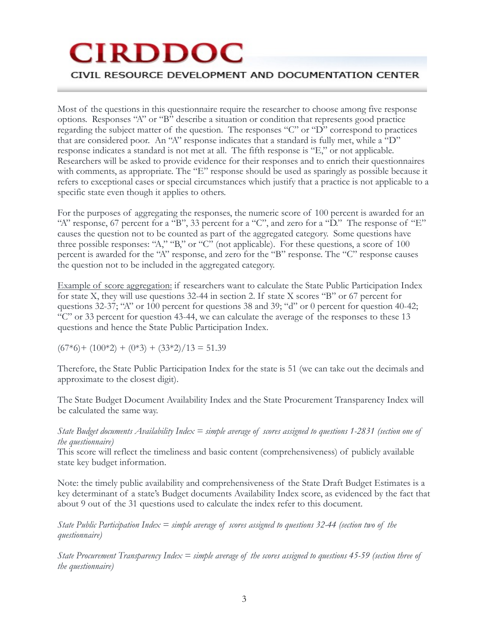## CIVIL RESOURCE DEVELOPMENT AND DOCUMENTATION CENTER

Most of the questions in this questionnaire require the researcher to choose among five response options. Responses "A" or "B" describe a situation or condition that represents good practice regarding the subject matter of the question. The responses "C" or "D" correspond to practices that are considered poor. An "A" response indicates that a standard is fully met, while a "D" response indicates a standard is not met at all. The fifth response is "E," or not applicable. Researchers will be asked to provide evidence for their responses and to enrich their questionnaires with comments, as appropriate. The "E" response should be used as sparingly as possible because it refers to exceptional cases or special circumstances which justify that a practice is not applicable to a specific state even though it applies to others.

For the purposes of aggregating the responses, the numeric score of 100 percent is awarded for an "A" response, 67 percent for a "B", 33 percent for a "C", and zero for a "D." The response of "E" causes the question not to be counted as part of the aggregated category. Some questions have three possible responses: "A," "B," or "C" (not applicable). For these questions, a score of 100 percent is awarded for the "A" response, and zero for the "B" response. The "C" response causes the question not to be included in the aggregated category.

Example of score aggregation: if researchers want to calculate the State Public Participation Index for state X, they will use questions 32-44 in section 2. If state X scores "B" or 67 percent for questions 32-37; "A" or 100 percent for questions 38 and 39; "d" or 0 percent for question 40-42; "C" or 33 percent for question 43-44, we can calculate the average of the responses to these 13 questions and hence the State Public Participation Index.

 $(67*6)$  +  $(100*2)$  +  $(0*3)$  +  $(33*2)/13 = 51.39$ 

Therefore, the State Public Participation Index for the state is 51 (we can take out the decimals and approximate to the closest digit).

The State Budget Document Availability Index and the State Procurement Transparency Index will be calculated the same way.

#### *State Budget documents Availability Index = simple average of scores assigned to questions 1-2831 (section one of the questionnaire)*

This score will reflect the timeliness and basic content (comprehensiveness) of publicly available state key budget information.

Note: the timely public availability and comprehensiveness of the State Draft Budget Estimates is a key determinant of a state's Budget documents Availability Index score, as evidenced by the fact that about 9 out of the 31 questions used to calculate the index refer to this document.

*State Public Participation Index = simple average of scores assigned to questions 32-44 (section two of the questionnaire)*

*State Procurement Transparency Index = simple average of the scores assigned to questions 45-59 (section three of the questionnaire)*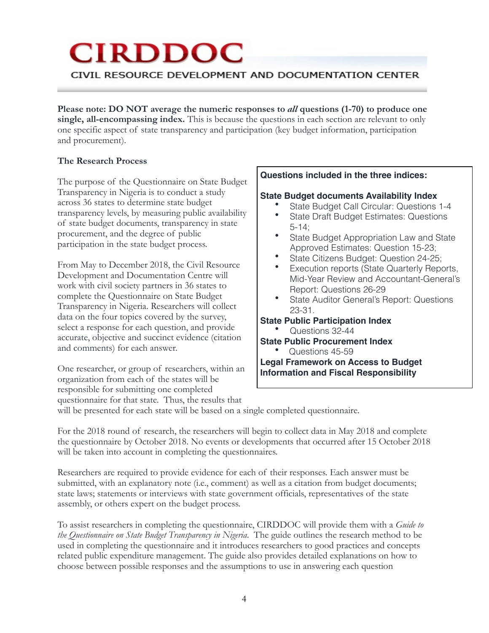# CIVIL RESOURCE DEVELOPMENT AND DOCUMENTATION CENTER

**Please note: DO NOT average the numeric responses to** *all* **questions (1-70) to produce one single, all-encompassing index.** This is because the questions in each section are relevant to only one specific aspect of state transparency and participation (key budget information, participation and procurement).

### **The Research Process**

The purpose of the Questionnaire on State Budget Transparency in Nigeria is to conduct a study across 36 states to determine state budget transparency levels, by measuring public availability of state budget documents, transparency in state procurement, and the degree of public participation in the state budget process.

From May to December 2018, the Civil Resource Development and Documentation Centre will work with civil society partners in 36 states to complete the Questionnaire on State Budget Transparency in Nigeria. Researchers will collect data on the four topics covered by the survey, select a response for each question, and provide accurate, objective and succinct evidence (citation and comments) for each answer.

One researcher, or group of researchers, within an organization from each of the states will be responsible for submitting one completed questionnaire for that state. Thus, the results that

### **Questions included in the three indices:**

### **State Budget documents Availability Index**

- State Budget Call Circular: Questions 1-4
- State Draft Budget Estimates: Questions 5-14;
- State Budget Appropriation Law and State Approved Estimates: Question 15-23;
- State Citizens Budget: Question 24-25;
- Execution reports (State Quarterly Reports, Mid-Year Review and Accountant-General's Report: Questions 26-29
- State Auditor General's Report: Questions 23-31.

### **State Public Participation Index**

- Questions 32-44
- **State Public Procurement Index** 
	- Questions 45-59

**Legal Framework on Access to Budget Information and Fiscal Responsibility** 

will be presented for each state will be based on a single completed questionnaire.

For the 2018 round of research, the researchers will begin to collect data in May 2018 and complete the questionnaire by October 2018. No events or developments that occurred after 15 October 2018 will be taken into account in completing the questionnaires.

Researchers are required to provide evidence for each of their responses. Each answer must be submitted, with an explanatory note (i.e., comment) as well as a citation from budget documents; state laws; statements or interviews with state government officials, representatives of the state assembly, or others expert on the budget process.

To assist researchers in completing the questionnaire, CIRDDOC will provide them with a *Guide to the Questionnaire on State Budget Transparency in Nigeria*. The guide outlines the research method to be used in completing the questionnaire and it introduces researchers to good practices and concepts related public expenditure management. The guide also provides detailed explanations on how to choose between possible responses and the assumptions to use in answering each question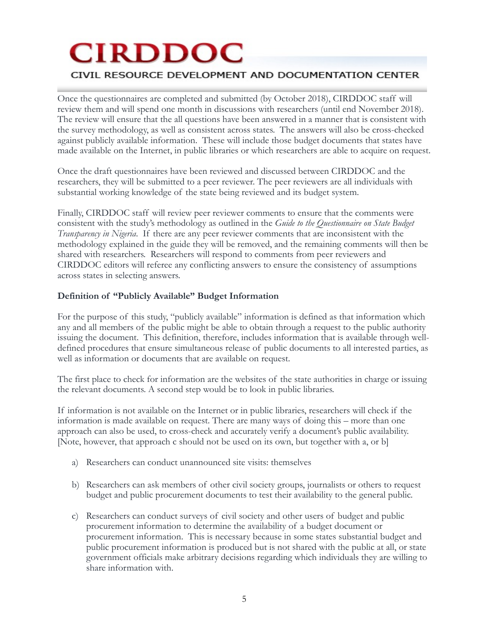# CIVIL RESOURCE DEVELOPMENT AND DOCUMENTATION CENTER

Once the questionnaires are completed and submitted (by October 2018), CIRDDOC staff will review them and will spend one month in discussions with researchers (until end November 2018). The review will ensure that the all questions have been answered in a manner that is consistent with the survey methodology, as well as consistent across states. The answers will also be cross-checked against publicly available information. These will include those budget documents that states have made available on the Internet, in public libraries or which researchers are able to acquire on request.

Once the draft questionnaires have been reviewed and discussed between CIRDDOC and the researchers, they will be submitted to a peer reviewer. The peer reviewers are all individuals with substantial working knowledge of the state being reviewed and its budget system.

Finally, CIRDDOC staff will review peer reviewer comments to ensure that the comments were consistent with the study's methodology as outlined in the *Guide to the Questionnaire on State Budget Transparency in Nigeria*. If there are any peer reviewer comments that are inconsistent with the methodology explained in the guide they will be removed, and the remaining comments will then be shared with researchers. Researchers will respond to comments from peer reviewers and CIRDDOC editors will referee any conflicting answers to ensure the consistency of assumptions across states in selecting answers.

### **Definition of "Publicly Available" Budget Information**

For the purpose of this study, "publicly available" information is defined as that information which any and all members of the public might be able to obtain through a request to the public authority issuing the document. This definition, therefore, includes information that is available through welldefined procedures that ensure simultaneous release of public documents to all interested parties, as well as information or documents that are available on request.

The first place to check for information are the websites of the state authorities in charge or issuing the relevant documents. A second step would be to look in public libraries.

If information is not available on the Internet or in public libraries, researchers will check if the information is made available on request. There are many ways of doing this – more than one approach can also be used, to cross-check and accurately verify a document's public availability. [Note, however, that approach c should not be used on its own, but together with a, or b]

- a) Researchers can conduct unannounced site visits: themselves
- b) Researchers can ask members of other civil society groups, journalists or others to request budget and public procurement documents to test their availability to the general public.
- c) Researchers can conduct surveys of civil society and other users of budget and public procurement information to determine the availability of a budget document or procurement information. This is necessary because in some states substantial budget and public procurement information is produced but is not shared with the public at all, or state government officials make arbitrary decisions regarding which individuals they are willing to share information with.